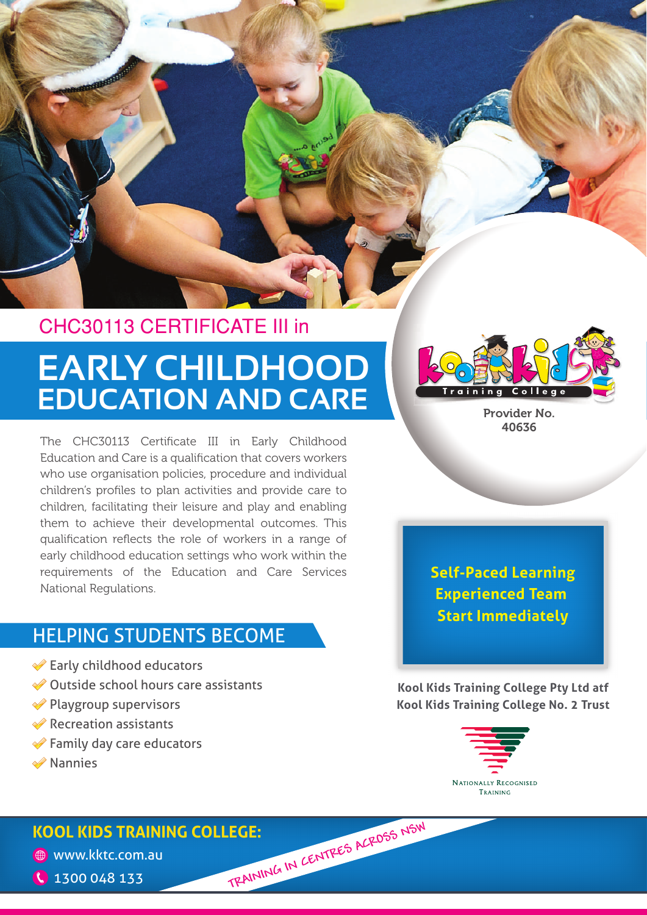

## **EARLY CHILDHOOD EDUCATION AND CARE** CHC30113 CERTIFICATE III in

The CHC30113 Certificate III in Early Childhood Education and Care is a qualification that covers workers who use organisation policies, procedure and individual children's profiles to plan activities and provide care to children, facilitating their leisure and play and enabling them to achieve their developmental outcomes. This qualification reflects the role of workers in a range of early childhood education settings who work within the requirements of the Education and Care Services National Regulations.

## HELPING STUDENTS BECOME

- **Early childhood educators**
- Outside school hours care assistants
- **◆ Playgroup supervisors**
- **◆ Recreation assistants**
- **◆ Family day care educators**
- **◆ Nannies**

Provider No. 40636

**Self-Paced Learning Experienced Team Start Immediately**

**Kool Kids Training College Pty Ltd atf Kool Kids Training College No. 2 Trust**



# **KOOL KIDS TRAINING COLLEGE: C** 1300 048 133 TRAINING IN CENTRES ACROSS NSW

www.kktc.com.au